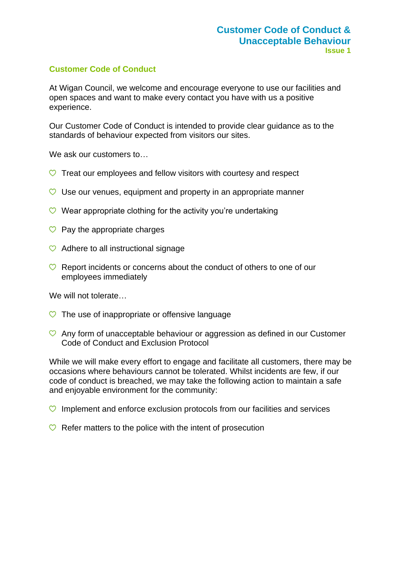#### **Customer Code of Conduct**

At Wigan Council, we welcome and encourage everyone to use our facilities and open spaces and want to make every contact you have with us a positive experience.

Our Customer Code of Conduct is intended to provide clear guidance as to the standards of behaviour expected from visitors our sites.

We ask our customers to...

- $\heartsuit$  Treat our employees and fellow visitors with courtesy and respect
- $\heartsuit$  Use our venues, equipment and property in an appropriate manner
- $\heartsuit$  Wear appropriate clothing for the activity you're undertaking
- $\heartsuit$  Pay the appropriate charges
- $\heartsuit$  Adhere to all instructional signage
- $\heartsuit$  Report incidents or concerns about the conduct of others to one of our employees immediately

We will not tolerate…

- $\heartsuit$  The use of inappropriate or offensive language
- $\heartsuit$  Any form of unacceptable behaviour or aggression as defined in our Customer Code of Conduct and Exclusion Protocol

While we will make every effort to engage and facilitate all customers, there may be occasions where behaviours cannot be tolerated. Whilst incidents are few, if our code of conduct is breached, we may take the following action to maintain a safe and enjoyable environment for the community:

- $\heartsuit$  Implement and enforce exclusion protocols from our facilities and services
- $\heartsuit$  Refer matters to the police with the intent of prosecution